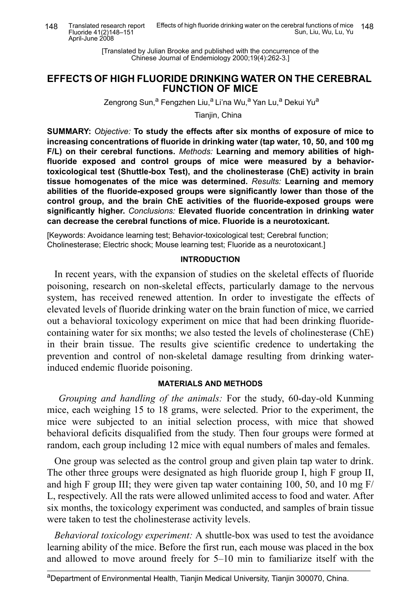[Translated by Julian Brooke and published with the concurrence of the Chinese Journal of Endemiology 2000;19(4):262-3.]

# EFFECTS OF HIGH FLUORIDE DRINKING WATER ON THE CEREBRAL **FUNCTION OF MICE**

Zengrong Sun,<sup>a</sup> Fengzhen Liu,<sup>a</sup> Li'na Wu,<sup>a</sup> Yan Lu,<sup>a</sup> Dekui Yu<sup>a</sup>

Tianiin, China

SUMMARY: Objective: To study the effects after six months of exposure of mice to increasing concentrations of fluoride in drinking water (tap water, 10, 50, and 100 mg F/L) on their cerebral functions. Methods: Learning and memory abilities of highfluoride exposed and control groups of mice were measured by a behaviortoxicological test (Shuttle-box Test), and the cholinesterase (ChE) activity in brain tissue homogenates of the mice was determined. Results: Learning and memory abilities of the fluoride-exposed groups were significantly lower than those of the control group, and the brain ChE activities of the fluoride-exposed groups were significantly higher. Conclusions: Elevated fluoride concentration in drinking water can decrease the cerebral functions of mice. Fluoride is a neurotoxicant.

[Keywords: Avoidance learning test; Behavior-toxicological test; Cerebral function; Cholinesterase; Electric shock; Mouse learning test; Fluoride as a neurotoxicant.]

### **INTRODUCTION**

In recent years, with the expansion of studies on the skeletal effects of fluoride poisoning, research on non-skeletal effects, particularly damage to the nervous system, has received renewed attention. In order to investigate the effects of elevated levels of fluoride drinking water on the brain function of mice, we carried out a behavioral toxicology experiment on mice that had been drinking fluoridecontaining water for six months; we also tested the levels of cholinesterase (ChE) in their brain tissue. The results give scientific credence to undertaking the prevention and control of non-skeletal damage resulting from drinking waterinduced endemic fluoride poisoning.

## **MATERIALS AND METHODS**

Grouping and handling of the animals: For the study, 60-day-old Kunming mice, each weighing 15 to 18 grams, were selected. Prior to the experiment, the mice were subjected to an initial selection process, with mice that showed behavioral deficits disqualified from the study. Then four groups were formed at random, each group including 12 mice with equal numbers of males and females.

One group was selected as the control group and given plain tap water to drink. The other three groups were designated as high fluoride group I, high F group II, and high F group III; they were given tap water containing 100, 50, and 10 mg  $F/$ L, respectively. All the rats were allowed unlimited access to food and water. After six months, the toxicology experiment was conducted, and samples of brain tissue were taken to test the cholinesterase activity levels.

*Behavioral toxicology experiment:* A shuttle-box was used to test the avoidance learning ability of the mice. Before the first run, each mouse was placed in the box and allowed to move around freely for 5–10 min to familiarize itself with the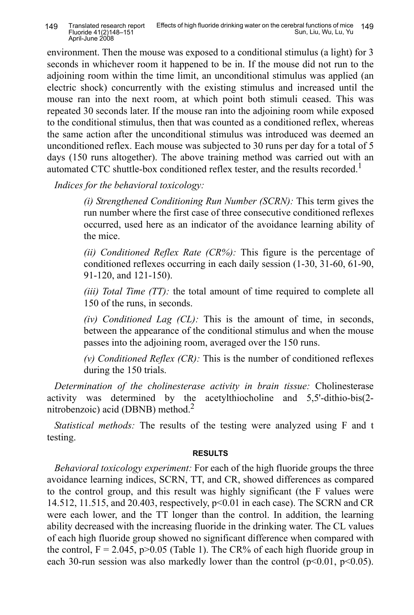environment. Then the mouse was exposed to a conditional stimulus (a light) for 3 seconds in whichever room it happened to be in. If the mouse did not run to the adjoining room within the time limit, an unconditional stimulus was applied (an electric shock) concurrently with the existing stimulus and increased until the mouse ran into the next room, at which point both stimuli ceased. This was repeated 30 seconds later. If the mouse ran into the adjoining room while exposed to the conditional stimulus, then that was counted as a conditioned reflex, whereas the same action after the unconditional stimulus was introduced was deemed an unconditioned reflex. Each mouse was subjected to 30 runs per day for a total of 5 days (150 runs altogether). The above training method was carried out with an automated CTC shuttle-box conditioned reflex tester, and the results recorded.<sup>1</sup>

*<i>Indices for the behavioral toxicology:* 

*(i) Strengthened Conditioning Run Number (SCRN)*: This term gives the run number where the first case of three consecutive conditioned reflexes occurred, used here as an indicator of the avoidance learning ability of the mice.

*(ii) Conditioned Reflex Rate (CR%)*: This figure is the percentage of conditioned reflexes occurring in each daily session (1-30, 31-60, 61-90, 91-120, and 121-150).

 $(iii)$  *Total Time*  $(TT)$ : the total amount of time required to complete all 150 of the runs, in seconds.

*(iv) Conditioned Lag*  $(CL)$ *:* This is the amount of time, in seconds, between the appearance of the conditional stimulus and when the mouse passes into the adjoining room, averaged over the 150 runs.

 $(v)$  *Conditioned Reflex (CR)*: This is the number of conditioned reflexes during the 150 trials.

*Determination of the cholinesterase activity in brain tissue:* Cholinesterase activity was determined by the acetylthiocholine and  $5,5'-dithio-bis(2$ nitrobenzoic) acid (DBNB) method. 2

*Statistical methods:* The results of the testing were analyzed using F and t testing.

## $RESULTS$

*Behavioral toxicology experiment:* For each of the high fluoride groups the three avoidance learning indices, SCRN, TT, and CR, showed differences as compared to the control group, and this result was highly significant (the F values were 14.512, 11.515, and 20.403, respectively, p<0.01 in each case). The SCRN and CR were each lower, and the TT longer than the control. In addition, the learning ability decreased with the increasing fluoride in the drinking water. The CL values of each high fluoride group showed no significant difference when compared with the control,  $F = 2.045$ , p $> 0.05$  (Table 1). The CR% of each high fluoride group in each 30-run session was also markedly lower than the control  $(p<0.01, p<0.05)$ .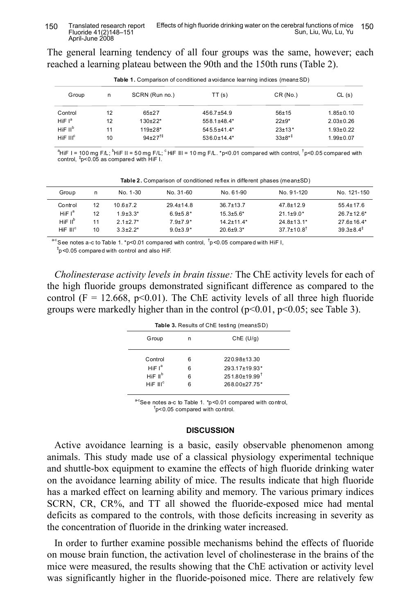The general learning tendency of all four groups was the same, however; each reached a learning plateau between the 90th and the 150th runs (Table 2).

| <b>Table 1.</b> Comparison of conditioned a voidance learning indices (mean±SD) |    |                       |                   |            |                 |  |
|---------------------------------------------------------------------------------|----|-----------------------|-------------------|------------|-----------------|--|
| Group                                                                           | n  | SCRN (Run no.)        | TT(s)             | CR(No.)    | CL(s)           |  |
| Control                                                                         | 12 | $65+27$               | $456.7 + 54.9$    | $56 + 15$  | $1.85 \pm 0.10$ |  |
| HiF $I^a$                                                                       | 12 | $130+22*$             | 558.1±48.4*       | $22+9*$    | $2.03 \pm 0.26$ |  |
| $H$ iF II <sup>b</sup>                                                          | 11 | $119+28*$             | $545.5 + 41.4*$   | $23+13*$   | $1.93 \pm 0.22$ |  |
| $H$ iF III <sup>c</sup>                                                         | 10 | $94+27$ <sup>†‡</sup> | $536.0 \pm 14.4*$ | $33+8^{*}$ | $1.99 + 0.07$   |  |

Table 1. Comparison of conditioned avoidance learning indices (mean±SD)

<sup>a</sup>HiF I = 100 mg F/L; <sup>b</sup>HiF II = 50 mg F/L; <sup>c</sup> HiF III = 10 mg F/L. \*p<0.01 compared with control, <sup>†</sup>p<0.05 compared with control, ‡ p<0.05 as compared with HiF I.

| Group               | n  | No. 1-30     | No. 31-60       | No. 61-90        | No. 91-120                   | No. 121-150             |
|---------------------|----|--------------|-----------------|------------------|------------------------------|-------------------------|
| Control             | 12 | 10 6 + 7 2   | $29.4 \pm 14.8$ | $36.7 \pm 13.7$  | $47.8 \pm 12.9$              | $55.4 \pm 17.6$         |
| HiF $I^a$           | 12 | $1.9 + 3.3*$ | $6.9{\pm}5.8*$  | $15.3 \pm 5.6^*$ | $21.1 \pm 9.0^*$             | $267+126*$              |
| HiF II <sup>b</sup> | 11 | $21+27*$     | $79+79*$        | $14.2 + 11.4*$   | 24 8+13 1*                   | $276+164*$              |
| $HIF$ $IIIc$        | 10 | $3.3+2.2*$   | $9.0 + 3.9*$    | $20.6 + 9.3*$    | $37.7 \pm 10.8$ <sup>†</sup> | $39.3 + 8.4^{\ddagger}$ |

**Table 2.** Comparison of conditioned reflex in different phases (mean±SD)

 $^{\mathrm{a-c}}$ See notes a -c to Table 1. \*p<0.01 compared with control,  $^{\dagger}$ p<0.05 compared with HiF I,

‡ p<0.05 compared with control and also HiF.

*Cholinesterase activity levels in brain tissue:* The ChE activity levels for each of the high fluoride groups demonstrated significant difference as compared to the control (F = 12.668, p<0.01). The ChE activity levels of all three high fluoride groups were markedly higher than in the control  $(p<0.01, p<0.05$ ; see Table 3).

| Table 3. Results of ChE testing (mean±SD) |   |                               |  |  |
|-------------------------------------------|---|-------------------------------|--|--|
| Group                                     | n | Che (U/q)                     |  |  |
| Control                                   | 6 | 220.98±13.30                  |  |  |
| HiF $I^a$                                 | 6 | 293.17±19.93*                 |  |  |
| HiF II <sup>b</sup>                       | 6 | $251.80\pm19.99$ <sup>t</sup> |  |  |
| HIF III <sup>c</sup>                      | հ | 268.00±27.75*                 |  |  |
|                                           |   |                               |  |  |

<sup>a-c</sup>See notes a-c to Table 1. \*p<0.01 compared with control,  $\sigma$ <sub>p</sub><0.05 compared with control.

#### **DISCUSSION**

Active avoidance learning is a basic, easily observable phenomenon among animals. This study made use of a classical physiology experimental technique and shuttle-box equipment to examine the effects of high fluoride drinking water on the avoidance learning ability of mice. The results indicate that high fluoride has a marked effect on learning ability and memory. The various primary indices SCRN, CR, CR%, and TT all showed the fluoride-exposed mice had mental deficits as compared to the controls, with those deficits increasing in severity as the concentration of fluoride in the drinking water increased.

In order to further examine possible mechanisms behind the effects of fluoride on mouse brain function, the activation level of cholinesterase in the brains of the mice were measured, the results showing that the ChE activation or activity level was significantly higher in the fluoride-poisoned mice. There are relatively few